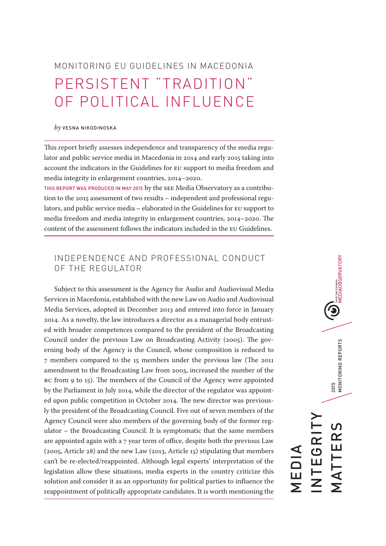MONITORING EU GUIDELINES IN MACEDONIA PERSISTENT "TRADITION" OF POLITICAL INFLUENCE

#### *by* VESNA NIKODINOSKA

This report briefly assesses independence and transparency of the media regulator and public service media in Macedonia in 2014 and early 2015 taking into account the indicators in the Guidelines for EU support to media freedom and media integrity in enlargement countries, 2014–2020.

THIS REPORT WAS PRODUCED IN MAY 2015 by the SEE Media Observatory as a contribution to the 2015 assessment of two results – independent and professional regulators, and public service media – elaborated in the Guidelines for EU support to media freedom and media integrity in enlargement countries, 2014–2020. The content of the assessment follows the indicators included in the EU Guidelines.

# INDEPENDENCE AND PROFESSIONAL CONDUCT OF THE REGULATOR

Subject to this assessment is the Agency for Audio and Audiovisual Media Services in Macedonia, established with the new Law on Audio and Audiovisual Media Services, adopted in December 2013 and entered into force in January 2014. As a novelty, the law introduces a director as a managerial body entrusted with broader competences compared to the president of the Broadcasting Council under the previous Law on Broadcasting Activity (2005). The governing body of the Agency is the Council, whose composition is reduced to 7 members compared to the 15 members under the previous law (The 2011 amendment to the Broadcasting Law from 2005, increased the number of the BC from 9 to 15). The members of the Council of the Agency were appointed by the Parliament in July 2014, while the director of the regulator was appointed upon public competition in October 2014. The new director was previously the president of the Broadcasting Council. Five out of seven members of the Agency Council were also members of the governing body of the former regulator – the Broadcasting Council. It is symptomatic that the same members are appointed again with a 7 year term of office, despite both the previous Law (2005, Article 28) and the new Law (2013, Article 15) stipulating that members can't be re-elected/reappointed. Although legal experts' interpretation of the legislation allow these situations, media experts in the country criticize this solution and consider it as an opportunity for political parties to influence the reappointment of politically appropriate candidates. It is worth mentioning the

**IDEDIAOBSERVATORY** 2015<br>MONITORING REPORTS MATTERS 2015 MONITORING REPORTS INTEGRITY <u>ທ</u> **EGRI** MATTER MEDIA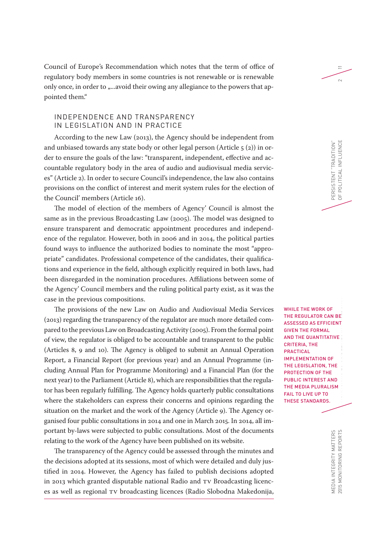Council of Europe's Recommendation which notes that the term of office of regulatory body members in some countries is not renewable or is renewable only once, in order to "...avoid their owing any allegiance to the powers that appointed them."

## INDEPENDENCE AND TRANSPARENCY IN LEGISLATION AND IN PRACTICE

According to the new Law (2013), the Agency should be independent from and unbiased towards any state body or other legal person (Article  $\zeta$  (2)) in order to ensure the goals of the law: "transparent, independent, effective and accountable regulatory body in the area of audio and audiovisual media services" (Article 2). In order to secure Council's independence, the law also contains provisions on the conflict of interest and merit system rules for the election of the Council' members (Article 16).

The model of election of the members of Agency' Council is almost the same as in the previous Broadcasting Law (2005). The model was designed to ensure transparent and democratic appointment procedures and independence of the regulator. However, both in 2006 and in 2014, the political parties found ways to influence the authorized bodies to nominate the most "appropriate" candidates. Professional competence of the candidates, their qualifications and experience in the field, although explicitly required in both laws, had been disregarded in the nomination procedures. Affiliations between some of the Agency' Council members and the ruling political party exist, as it was the case in the previous compositions.

The provisions of the new Law on Audio and Audiovisual Media Services (2013) regarding the transparency of the regulator are much more detailed compared to the previous Law on Broadcasting Activity (2005). From the formal point of view, the regulator is obliged to be accountable and transparent to the public (Articles 8, 9 and 10). The Agency is obliged to submit an Annual Operation Report, a Financial Report (for previous year) and an Annual Programme (including Annual Plan for Programme Monitoring) and a Financial Plan (for the next year) to the Parliament (Article 8), which are responsibilities that the regulator has been regularly fulfilling. The Agency holds quarterly public consultations where the stakeholders can express their concerns and opinions regarding the situation on the market and the work of the Agency (Article 9). The Agency organised four public consultations in 2014 and one in March 2015. In 2014, all important by-laws were subjected to public consultations. Most of the documents relating to the work of the Agency have been published on its website.

The transparency of the Agency could be assessed through the minutes and the decisions adopted at its sessions, most of which were detailed and duly justified in 2014. However, the Agency has failed to publish decisions adopted in 2013 which granted disputable national Radio and TV Broadcasting licences as well as regional TV broadcasting licences (Radio Slobodna Makedonija, WHILE THE WORK OF THE REGULATOR CAN BE ASSESSED AS EFFICIENT GIVEN THE FORMAL AND THE QUANTITATIVE CRITERIA, THE PRACTICAL IMPLEMENTATION OF THE LEGISLATION, THE PROTECTION OF THE PUBLIC INTEREST AND THE MEDIA PLURALISM FAIL TO LIVE UP TO THESE STANDARDS.

PERSISTENT "TRADITION"

PERSISTENT "TRADITION"<br>OF POLITICAL INFLUENCE

OF POLITICAL INFLUENCE 2

 $\equiv$ 

 $\sim$ 

2015 MONITORING REPORTS MONITORING EUROPEN MONITORING EU GUIDELINES IN MACHINES IN MACHINES IN MACHINES IN MACHINES IN MACHINES IN MACHINES IN MACHINES IN MACHINES IN MACHINES IN MACHINES IN MACHINES IN MACHINES IN MACHINE MEDIA INTEGRITY MATTERS<br>2015 MONITORING REPORTS MEDIA INTEGRITY MATTERS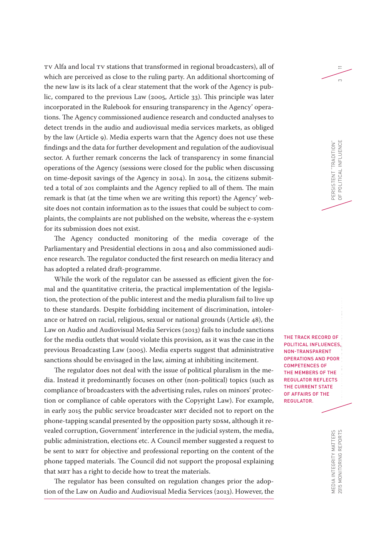TV Alfa and local TV stations that transformed in regional broadcasters), all of which are perceived as close to the ruling party. An additional shortcoming of the new law is its lack of a clear statement that the work of the Agency is public, compared to the previous Law (2005, Article 33). This principle was later incorporated in the Rulebook for ensuring transparency in the Agency' operations. The Agency commissioned audience research and conducted analyses to detect trends in the audio and audiovisual media services markets, as obliged by the law (Article 9). Media experts warn that the Agency does not use these findings and the data for further development and regulation of the audiovisual sector. A further remark concerns the lack of transparency in some financial operations of the Agency (sessions were closed for the public when discussing on time-deposit savings of the Agency in 2014). In 2014, the citizens submitted a total of 201 complaints and the Agency replied to all of them. The main remark is that (at the time when we are writing this report) the Agency' website does not contain information as to the issues that could be subject to complaints, the complaints are not published on the website, whereas the e-system for its submission does not exist.

The Agency conducted monitoring of the media coverage of the Parliamentary and Presidential elections in 2014 and also commissioned audience research. The regulator conducted the first research on media literacy and has adopted a related draft-programme.

While the work of the regulator can be assessed as efficient given the formal and the quantitative criteria, the practical implementation of the legislation, the protection of the public interest and the media pluralism fail to live up to these standards. Despite forbidding incitement of discrimination, intolerance or hatred on racial, religious, sexual or national grounds (Article 48), the Law on Audio and Audiovisual Media Services (2013) fails to include sanctions for the media outlets that would violate this provision, as it was the case in the previous Broadcasting Law (2005). Media experts suggest that administrative sanctions should be envisaged in the law, aiming at inhibiting incitement.

The regulator does not deal with the issue of political pluralism in the media. Instead it predominantly focuses on other (non-political) topics (such as compliance of broadcasters with the advertising rules, rules on minors' protection or compliance of cable operators with the Copyright Law). For example, in early 2015 the public service broadcaster MRT decided not to report on the phone-tapping scandal presented by the opposition party SDSM, although it revealed corruption, Government' interference in the judicial system, the media, public administration, elections etc. A Council member suggested a request to be sent to MRT for objective and professional reporting on the content of the phone tapped materials. The Council did not support the proposal explaining that MRT has a right to decide how to treat the materials.

The regulator has been consulted on regulation changes prior the adoption of the Law on Audio and Audiovisual Media Services (2013). However, the THE TRACK RECORD OF POLITICAL INFLUENCES, NON-TRANSPARENT OPERATIONS AND POOR COMPETENCES OF THE MEMBERS OF THE REGULATOR REFLECTS THE CURRENT STATE OF AFFAIRS OF THE REGULATOR.

PERSISTENT "TRADITION"

OF POLITICAL INFLUENCE 3

POLITICAL INFLUENCE PERSISTENT "TRADITION"<br>OF POLITICAL INFLUENCE

11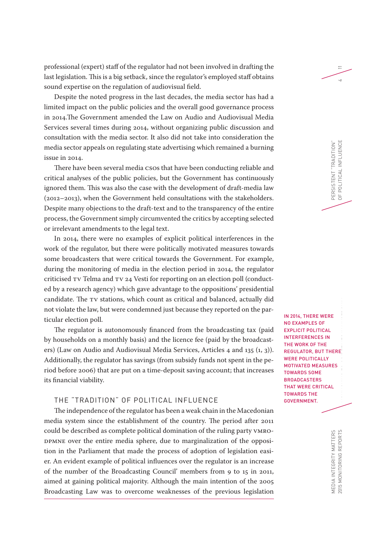professional (expert) staff of the regulator had not been involved in drafting the last legislation. This is a big setback, since the regulator's employed staff obtains sound expertise on the regulation of audiovisual field.

Despite the noted progress in the last decades, the media sector has had a limited impact on the public policies and the overall good governance process in 2014.The Government amended the Law on Audio and Audiovisual Media Services several times during 2014, without organizing public discussion and consultation with the media sector. It also did not take into consideration the media sector appeals on regulating state advertising which remained a burning issue in 2014.

There have been several media CSOs that have been conducting reliable and critical analyses of the public policies, but the Government has continuously ignored them. This was also the case with the development of draft-media law (2012–2013), when the Government held consultations with the stakeholders. Despite many objections to the draft-text and to the transparency of the entire process, the Government simply circumvented the critics by accepting selected or irrelevant amendments to the legal text.

In 2014, there were no examples of explicit political interferences in the work of the regulator, but there were politically motivated measures towards some broadcasters that were critical towards the Government. For example, during the monitoring of media in the election period in 2014, the regulator criticised TV Telma and TV 24 Vesti for reporting on an election poll (conducted by a research agency) which gave advantage to the oppositions' presidential candidate. The TV stations, which count as critical and balanced, actually did not violate the law, but were condemned just because they reported on the particular election poll.

The regulator is autonomously financed from the broadcasting tax (paid by households on a monthly basis) and the licence fee (paid by the broadcasters) (Law on Audio and Audiovisual Media Services, Articles 4 and 135 (1, 3)). Additionally, the regulator has savings (from subsidy funds not spent in the period before 2006) that are put on a time-deposit saving account; that increases its financial viability.

## THE "TRADITION" OF POLITICAL INFLUENCE

The independence of the regulator has been a weak chain in the Macedonian media system since the establishment of the country. The period after 2011 could be described as complete political domination of the ruling party VMRO-DPMNE over the entire media sphere, due to marginalization of the opposition in the Parliament that made the process of adoption of legislation easier. An evident example of political influences over the regulator is an increase of the number of the Broadcasting Council' members from 9 to 15 in 2011, aimed at gaining political majority. Although the main intention of the 2005 Broadcasting Law was to overcome weaknesses of the previous legislation

IN 2014, THERE WERE NO EXAMPLES OF EXPLICIT POLITICAL INTERFERENCES IN THE WORK OF THE REGULATOR, BUT THERE WERE POLITICALLY MOTIVATED MEASURES TOWARDS SOME **BROADCASTERS** THAT WERE CRITICAL TOWARDS THE GOVERNMENT.

PERSISTENT "TRADITION"

PERSISTENT "TRADITION"<br>OF POLITICAL INFLUENCE

OF POLITICAL INFLUENCE 4

11

2015 MONITORING REPORTS MEDIA INTEGRITY MATTERS<br>2015 MONITORING REPORTS MEDIA INTEGRITY MATTERS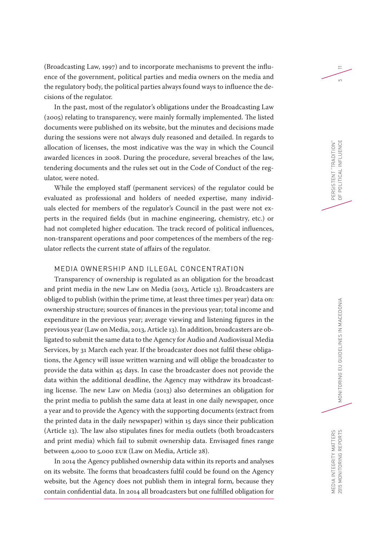(Broadcasting Law, 1997) and to incorporate mechanisms to prevent the influence of the government, political parties and media owners on the media and the regulatory body, the political parties always found ways to influence the decisions of the regulator.

In the past, most of the regulator's obligations under the Broadcasting Law (2005) relating to transparency, were mainly formally implemented. The listed documents were published on its website, but the minutes and decisions made during the sessions were not always duly reasoned and detailed. In regards to allocation of licenses, the most indicative was the way in which the Council awarded licences in 2008. During the procedure, several breaches of the law, tendering documents and the rules set out in the Code of Conduct of the regulator, were noted.

While the employed staff (permanent services) of the regulator could be evaluated as professional and holders of needed expertise, many individuals elected for members of the regulator's Council in the past were not experts in the required fields (but in machine engineering, chemistry, etc.) or had not completed higher education. The track record of political influences, non-transparent operations and poor competences of the members of the regulator reflects the current state of affairs of the regulator.

### MEDIA OWNERSHIP AND ILLEGAL CONCENTRATION

Transparency of ownership is regulated as an obligation for the broadcast and print media in the new Law on Media (2013, Article 13). Broadcasters are obliged to publish (within the prime time, at least three times per year) data on: ownership structure; sources of finances in the previous year; total income and expenditure in the previous year; average viewing and listening figures in the previous year (Law on Media, 2013, Article 13). In addition, broadcasters are obligated to submit the same data to the Agency for Audio and Audiovisual Media Services, by 31 March each year. If the broadcaster does not fulfil these obligations, the Agency will issue written warning and will oblige the broadcaster to provide the data within 45 days. In case the broadcaster does not provide the data within the additional deadline, the Agency may withdraw its broadcasting license. The new Law on Media (2013) also determines an obligation for the print media to publish the same data at least in one daily newspaper, once a year and to provide the Agency with the supporting documents (extract from the printed data in the daily newspaper) within 15 days since their publication (Article 13). The law also stipulates fines for media outlets (both broadcasters and print media) which fail to submit ownership data. Envisaged fines range between 4,000 to 5,000 EUR (Law on Media, Article 28).

In 2014 the Agency published ownership data within its reports and analyses on its website. The forms that broadcasters fulfil could be found on the Agency website, but the Agency does not publish them in integral form, because they contain confidential data. In 2014 all broadcasters but one fulfilled obligation for

PERSISTENT "TRADITION"

OF POLITICAL INFLUENCE 5

POLITICAL INFLUENCE PERSISTENT "TRADITION"<br>OF POLITICAL INFLUENCE

11

 $\overline{5}$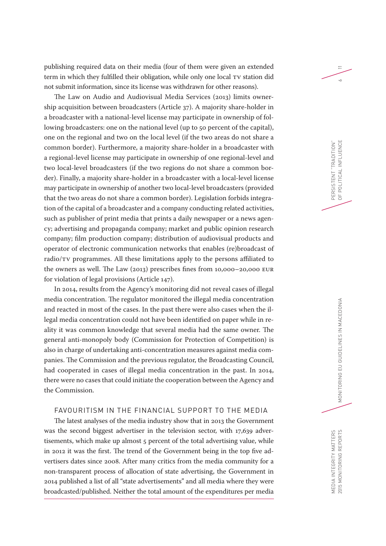publishing required data on their media (four of them were given an extended term in which they fulfilled their obligation, while only one local TV station did not submit information, since its license was withdrawn for other reasons).

The Law on Audio and Audiovisual Media Services (2013) limits ownership acquisition between broadcasters (Article 37). A majority share-holder in a broadcaster with a national-level license may participate in ownership of following broadcasters: one on the national level (up to 50 percent of the capital), one on the regional and two on the local level (if the two areas do not share a common border). Furthermore, a majority share-holder in a broadcaster with a regional-level license may participate in ownership of one regional-level and two local-level broadcasters (if the two regions do not share a common border). Finally, a majority share-holder in a broadcaster with a local-level license may participate in ownership of another two local-level broadcasters (provided that the two areas do not share a common border). Legislation forbids integration of the capital of a broadcaster and a company conducting related activities, such as publisher of print media that prints a daily newspaper or a news agency; advertising and propaganda company; market and public opinion research company; film production company; distribution of audiovisual products and operator of electronic communication networks that enables (re)broadcast of radio/TV programmes. All these limitations apply to the persons affiliated to the owners as well. The Law (2013) prescribes fines from 10,000–20,000 EUR for violation of legal provisions (Article 147).

In 2014, results from the Agency's monitoring did not reveal cases of illegal media concentration. The regulator monitored the illegal media concentration and reacted in most of the cases. In the past there were also cases when the illegal media concentration could not have been identified on paper while in reality it was common knowledge that several media had the same owner. The general anti-monopoly body (Commission for Protection of Competition) is also in charge of undertaking anti-concentration measures against media companies. The Commission and the previous regulator, the Broadcasting Council, had cooperated in cases of illegal media concentration in the past. In 2014, there were no cases that could initiate the cooperation between the Agency and the Commission.

### FAVOURITISM IN THE FINANCIAL SUPPORT TO THE MEDIA

The latest analyses of the media industry show that in 2013 the Government was the second biggest advertiser in the television sector, with 17,639 advertisements, which make up almost 5 percent of the total advertising value, while in 2012 it was the first. The trend of the Government being in the top five advertisers dates since 2008. After many critics from the media community for a non-transparent process of allocation of state advertising, the Government in 2014 published a list of all "state advertisements" and all media where they were broadcasted/published. Neither the total amount of the expenditures per media

11

 $\sim$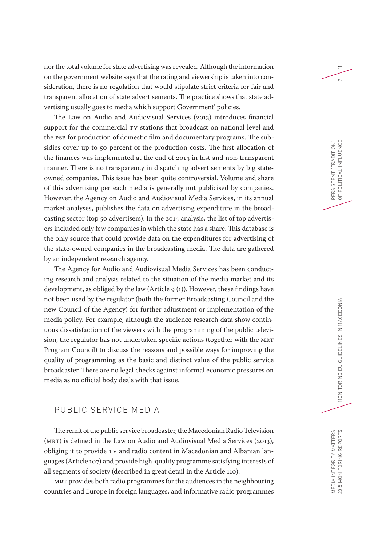nor the total volume for state advertising was revealed. Although the information on the government website says that the rating and viewership is taken into consideration, there is no regulation that would stipulate strict criteria for fair and transparent allocation of state advertisements. The practice shows that state advertising usually goes to media which support Government' policies.

The Law on Audio and Audiovisual Services (2013) introduces financial support for the commercial TV stations that broadcast on national level and the PSB for production of domestic film and documentary programs. The subsidies cover up to 50 percent of the production costs. The first allocation of the finances was implemented at the end of 2014 in fast and non-transparent manner. There is no transparency in dispatching advertisements by big stateowned companies. This issue has been quite controversial. Volume and share of this advertising per each media is generally not publicised by companies. However, the Agency on Audio and Audiovisual Media Services, in its annual market analyses, publishes the data on advertising expenditure in the broadcasting sector (top 50 advertisers). In the 2014 analysis, the list of top advertisers included only few companies in which the state has a share. This database is the only source that could provide data on the expenditures for advertising of the state-owned companies in the broadcasting media. The data are gathered by an independent research agency.

The Agency for Audio and Audiovisual Media Services has been conducting research and analysis related to the situation of the media market and its development, as obliged by the law (Article 9 (1)). However, these findings have not been used by the regulator (both the former Broadcasting Council and the new Council of the Agency) for further adjustment or implementation of the media policy. For example, although the audience research data show continuous dissatisfaction of the viewers with the programming of the public television, the regulator has not undertaken specific actions (together with the MRT Program Council) to discuss the reasons and possible ways for improving the quality of programming as the basic and distinct value of the public service broadcaster. There are no legal checks against informal economic pressures on media as no official body deals with that issue.

# PUBLIC SERVICE MEDIA

The remit of the public service broadcaster, the Macedonian Radio Television (MRT) is defined in the Law on Audio and Audiovisual Media Services (2013), obliging it to provide TV and radio content in Macedonian and Albanian languages (Article 107) and provide high-quality programme satisfying interests of all segments of society (described in great detail in the Article 110).

MRT provides both radio programmes for the audiences in the neighbouring countries and Europe in foreign languages, and informative radio programmes

PERSISTENT "TRADITION"

PERSISTENT "TRADITION"<br>OF POLITICAL INFLUENCE POLITICAL INFLUENCE

OF POLITICAL INFLUENCE 7

11

MEDIA INTEGRITY MATTERS

MEDIA INTEGRITY MATTERS<br>2015 MONITORING REPORTS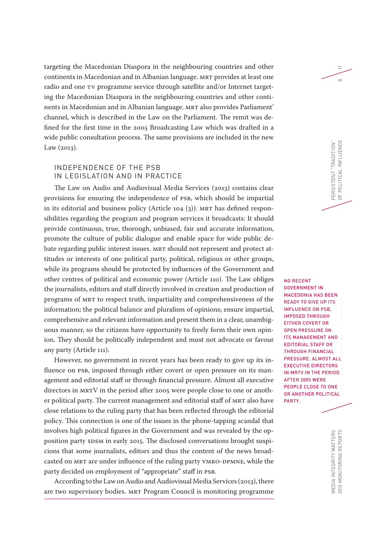targeting the Macedonian Diaspora in the neighbouring countries and other continents in Macedonian and in Albanian language. MRT provides at least one radio and one TV programme service through satellite and/or Internet targeting the Macedonian Diaspora in the neighbouring countries and other continents in Macedonian and in Albanian language. MRT also provides Parliament' channel, which is described in the Law on the Parliament. The remit was defined for the first time in the 2005 Broadcasting Law which was drafted in a wide public consultation process. The same provisions are included in the new Law (2013).

### INDEPENDENCE OF THE PSB IN LEGISLATION AND IN PRACTICE

The Law on Audio and Audiovisual Media Services (2013) contains clear provisions for ensuring the independence of PSB, which should be impartial in its editorial and business policy (Article 104 (3)). MRT has defined responsibilities regarding the program and program services it broadcasts: It should provide continuous, true, thorough, unbiased, fair and accurate information, promote the culture of public dialogue and enable space for wide public debate regarding public interest issues. MRT should not represent and protect attitudes or interests of one political party, political, religious or other groups, while its programs should be protected by influences of the Government and other centres of political and economic power (Article 110). The Law obliges the journalists, editors and staff directly involved in creation and production of programs of MRT to respect truth, impartiality and comprehensiveness of the information; the political balance and pluralism of opinions; ensure impartial, comprehensive and relevant information and present them in a clear, unambiguous manner, so the citizens have opportunity to freely form their own opinion. They should be politically independent and must not advocate or favour any party (Article 111).

However, no government in recent years has been ready to give up its influence on PSB, imposed through either covert or open pressure on its management and editorial staff or through financial pressure. Almost all executive directors in MRTV in the period after 2005 were people close to one or another political party. The current management and editorial staff of MRT also have close relations to the ruling party that has been reflected through the editorial policy. This connection is one of the issues in the phone-tapping scandal that involves high political figures in the Government and was revealed by the opposition party SDSM in early 2015. The disclosed conversations brought suspicions that some journalists, editors and thus the content of the news broadcasted on MRT are under influence of the ruling party VMRO-DPMNE, while the party decided on employment of "appropriate" staff in PSB.

According to the Law on Audio and Audiovisual Media Services (2013), there are two supervisory bodies. MRT Program Council is monitoring programme

2015 MONITORING REPORTS  $\blacksquare$ NO RECENT GOVERNMENT IN MACEDONIA HAS BEEN READY TO GIVE UP ITS INFLUENCE ON PSB, IMPOSED THROUGH EITHER COVERT OR OPEN PRESSURE ON ITS MANAGEMENT AND EDITORIAL STAFF OR THROUGH FINANCIAL PRESSURE. ALMOST ALL EXECUTIVE DIRECTORS IN MRTV IN THE PERIOD AFTER 2005 WERE PEOPLE CLOSE TO ONE OR ANOTHER POLITICAL PARTY.

PERSISTENT "TRADITION"

PERSISTENT "TRADITION"<br>OF POLITICAL INFLUENCE

OF POLITICAL INFLUENCE 8

 $\equiv$ 

 $\infty$ 

MEDIA INTEGRITY MATTERS<br>2015 MONITORING REPORTS MEDIA INTEGRITY MATTERS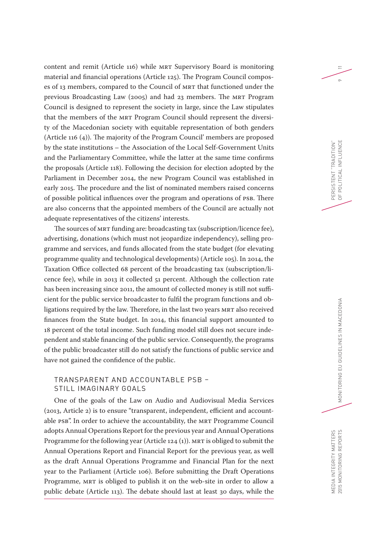content and remit (Article 116) while MRT Supervisory Board is monitoring material and financial operations (Article 125). The Program Council composes of 13 members, compared to the Council of MRT that functioned under the previous Broadcasting Law (2005) and had 23 members. The MRT Program Council is designed to represent the society in large, since the Law stipulates that the members of the MRT Program Council should represent the diversity of the Macedonian society with equitable representation of both genders (Article 116 (4)). The majority of the Program Council' members are proposed by the state institutions – the Association of the Local Self-Government Units and the Parliamentary Committee, while the latter at the same time confirms the proposals (Article 118). Following the decision for election adopted by the Parliament in December 2014, the new Program Council was established in early 2015. The procedure and the list of nominated members raised concerns of possible political influences over the program and operations of PSB. There are also concerns that the appointed members of the Council are actually not adequate representatives of the citizens' interests.

The sources of MRT funding are: broadcasting tax (subscription/licence fee), advertising, donations (which must not jeopardize independency), selling programme and services, and funds allocated from the state budget (for elevating programme quality and technological developments) (Article 105). In 2014, the Taxation Office collected 68 percent of the broadcasting tax (subscription/licence fee), while in 2013 it collected 51 percent. Although the collection rate has been increasing since 2011, the amount of collected money is still not sufficient for the public service broadcaster to fulfil the program functions and obligations required by the law. Therefore, in the last two years MRT also received finances from the State budget. In 2014, this financial support amounted to 18 percent of the total income. Such funding model still does not secure independent and stable financing of the public service. Consequently, the programs of the public broadcaster still do not satisfy the functions of public service and have not gained the confidence of the public.

### TRANSPARENT AND ACCOUNTABLE PSB – STILL IMAGINARY GOALS

One of the goals of the Law on Audio and Audiovisual Media Services (2013, Article 2) is to ensure "transparent, independent, efficient and accountable PSB". In order to achieve the accountability, the MRT Programme Council adopts Annual Operations Report for the previous year and Annual Operations Programme for the following year (Article 124 (1)). MRT is obliged to submit the Annual Operations Report and Financial Report for the previous year, as well as the draft Annual Operations Programme and Financial Plan for the next year to the Parliament (Article 106). Before submitting the Draft Operations Programme, MRT is obliged to publish it on the web-site in order to allow a public debate (Article 113). The debate should last at least 30 days, while the 11

 $\sigma$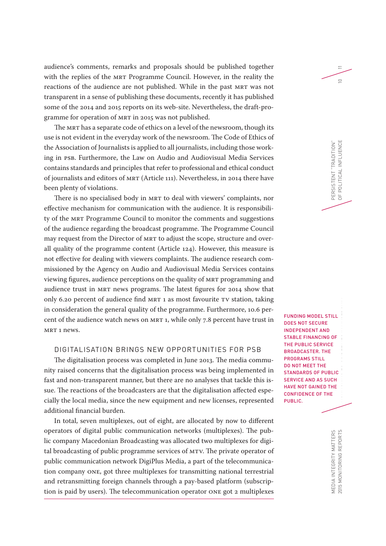audience's comments, remarks and proposals should be published together with the replies of the MRT Programme Council. However, in the reality the reactions of the audience are not published. While in the past MRT was not transparent in a sense of publishing these documents, recently it has published some of the 2014 and 2015 reports on its web-site. Nevertheless, the draft-programme for operation of MRT in 2015 was not published.

The MRT has a separate code of ethics on a level of the newsroom, though its use is not evident in the everyday work of the newsroom. The Code of Ethics of the Association of Journalists is applied to all journalists, including those working in PSB. Furthermore, the Law on Audio and Audiovisual Media Services contains standards and principles that refer to professional and ethical conduct of journalists and editors of MRT (Article 111). Nevertheless, in 2014 there have been plenty of violations.

There is no specialised body in MRT to deal with viewers' complaints, nor effective mechanism for communication with the audience. It is responsibility of the MRT Programme Council to monitor the comments and suggestions of the audience regarding the broadcast programme. The Programme Council may request from the Director of MRT to adjust the scope, structure and overall quality of the programme content (Article 124). However, this measure is not effective for dealing with viewers complaints. The audience research commissioned by the Agency on Audio and Audiovisual Media Services contains viewing figures, audience perceptions on the quality of MRT programming and audience trust in MRT news programs. The latest figures for 2014 show that only 6.20 percent of audience find MRT 1 as most favourite TV station, taking in consideration the general quality of the programme. Furthermore, 10.6 percent of the audience watch news on MRT 1, while only 7.8 percent have trust in MRT 1 news.

#### DIGITALISATION BRINGS NEW OPPORTUNITIES FOR PSB

The digitalisation process was completed in June 2013. The media community raised concerns that the digitalisation process was being implemented in fast and non-transparent manner, but there are no analyses that tackle this issue. The reactions of the broadcasters are that the digitalisation affected especially the local media, since the new equipment and new licenses, represented additional financial burden.

In total, seven multiplexes, out of eight, are allocated by now to different operators of digital public communication networks (multiplexes). The public company Macedonian Broadcasting was allocated two multiplexes for digital broadcasting of public programme services of MTV. The private operator of public communication network DigiPlus Media, a part of the telecommunication company ONE, got three multiplexes for transmitting national terrestrial and retransmitting foreign channels through a pay-based platform (subscription is paid by users). The telecommunication operator ONE got 2 multiplexes

FUNDING MODEL STILL DOES NOT SECURE INDEPENDENT AND STABLE FINANCING OF THE PUBLIC SERVICE BROADCASTER. THE PROGRAMS STILL DO NOT MEET THE STANDARDS OF PUBLIC SERVICE AND AS SUCH HAVE NOT GAINED THE CONFIDENCE OF THE PUBLIC.

PERSISTENT "TRADITION"

OF POLITICAL INFLUENCE 10

POLITICAL INFLUENCE PERSISTENT "TRADITION"<br>OF POLITICAL INFLUENCE

 $\equiv$ 

 $\supseteq$ 

2015 MONITORING REPORTS  $\blacksquare$ MEDIA INTEGRITY MATTERS<br>2015 MONITORING REPORTS MEDIA INTEGRITY MATTERS